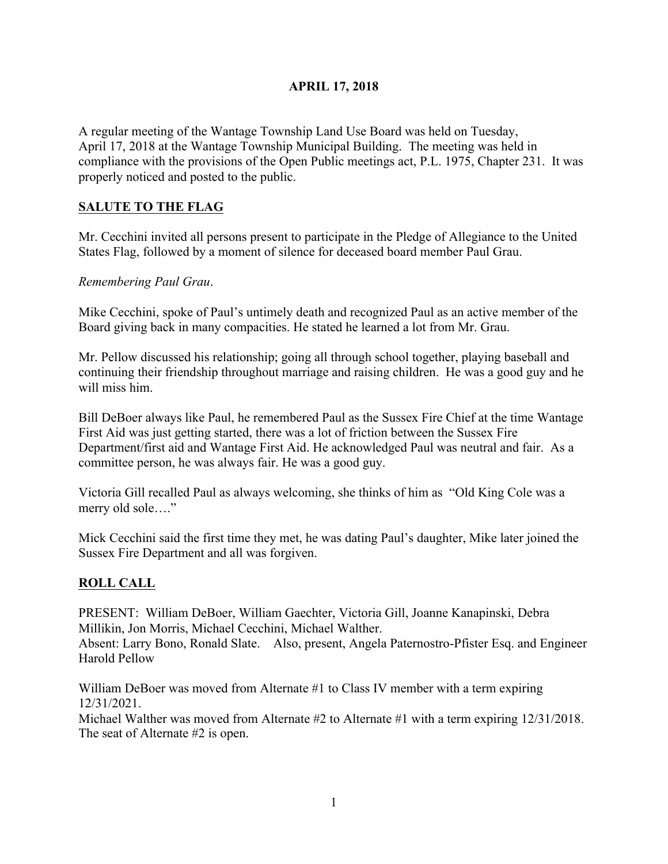## **APRIL 17, 2018**

A regular meeting of the Wantage Township Land Use Board was held on Tuesday, April 17, 2018 at the Wantage Township Municipal Building. The meeting was held in compliance with the provisions of the Open Public meetings act, P.L. 1975, Chapter 231. It was properly noticed and posted to the public.

# **SALUTE TO THE FLAG**

Mr. Cecchini invited all persons present to participate in the Pledge of Allegiance to the United States Flag, followed by a moment of silence for deceased board member Paul Grau.

*Remembering Paul Grau*.

Mike Cecchini, spoke of Paul's untimely death and recognized Paul as an active member of the Board giving back in many compacities. He stated he learned a lot from Mr. Grau.

Mr. Pellow discussed his relationship; going all through school together, playing baseball and continuing their friendship throughout marriage and raising children. He was a good guy and he will miss him.

Bill DeBoer always like Paul, he remembered Paul as the Sussex Fire Chief at the time Wantage First Aid was just getting started, there was a lot of friction between the Sussex Fire Department/first aid and Wantage First Aid. He acknowledged Paul was neutral and fair. As a committee person, he was always fair. He was a good guy.

Victoria Gill recalled Paul as always welcoming, she thinks of him as "Old King Cole was a merry old sole...."

Mick Cecchini said the first time they met, he was dating Paul's daughter, Mike later joined the Sussex Fire Department and all was forgiven.

## **ROLL CALL**

PRESENT: William DeBoer, William Gaechter, Victoria Gill, Joanne Kanapinski, Debra Millikin, Jon Morris, Michael Cecchini, Michael Walther. Absent: Larry Bono, Ronald Slate. Also, present, Angela Paternostro-Pfister Esq. and Engineer Harold Pellow

William DeBoer was moved from Alternate #1 to Class IV member with a term expiring 12/31/2021.

Michael Walther was moved from Alternate #2 to Alternate #1 with a term expiring  $12/31/2018$ . The seat of Alternate #2 is open.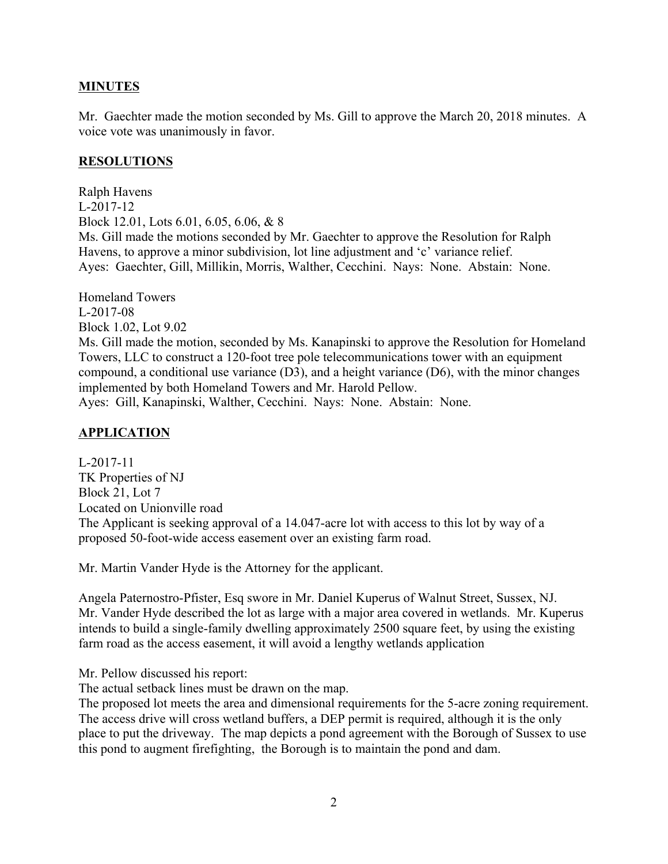## **MINUTES**

Mr. Gaechter made the motion seconded by Ms. Gill to approve the March 20, 2018 minutes. A voice vote was unanimously in favor.

#### **RESOLUTIONS**

Ralph Havens L-2017-12 Block 12.01, Lots 6.01, 6.05, 6.06, & 8 Ms. Gill made the motions seconded by Mr. Gaechter to approve the Resolution for Ralph Havens, to approve a minor subdivision, lot line adjustment and 'c' variance relief. Ayes: Gaechter, Gill, Millikin, Morris, Walther, Cecchini. Nays: None. Abstain: None.

Homeland Towers L-2017-08 Block 1.02, Lot 9.02 Ms. Gill made the motion, seconded by Ms. Kanapinski to approve the Resolution for Homeland Towers, LLC to construct a 120-foot tree pole telecommunications tower with an equipment compound, a conditional use variance (D3), and a height variance (D6), with the minor changes implemented by both Homeland Towers and Mr. Harold Pellow. Ayes: Gill, Kanapinski, Walther, Cecchini. Nays: None. Abstain: None.

# **APPLICATION**

L-2017-11 TK Properties of NJ Block 21, Lot 7 Located on Unionville road The Applicant is seeking approval of a 14.047-acre lot with access to this lot by way of a proposed 50-foot-wide access easement over an existing farm road.

Mr. Martin Vander Hyde is the Attorney for the applicant.

Angela Paternostro-Pfister, Esq swore in Mr. Daniel Kuperus of Walnut Street, Sussex, NJ. Mr. Vander Hyde described the lot as large with a major area covered in wetlands. Mr. Kuperus intends to build a single-family dwelling approximately 2500 square feet, by using the existing farm road as the access easement, it will avoid a lengthy wetlands application

Mr. Pellow discussed his report:

The actual setback lines must be drawn on the map.

The proposed lot meets the area and dimensional requirements for the 5-acre zoning requirement. The access drive will cross wetland buffers, a DEP permit is required, although it is the only place to put the driveway. The map depicts a pond agreement with the Borough of Sussex to use this pond to augment firefighting, the Borough is to maintain the pond and dam.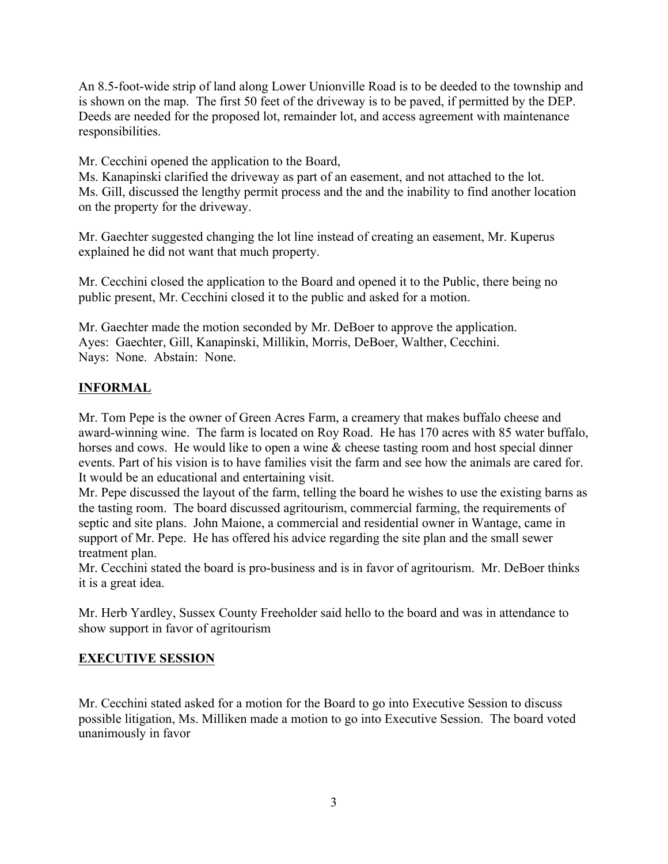An 8.5-foot-wide strip of land along Lower Unionville Road is to be deeded to the township and is shown on the map. The first 50 feet of the driveway is to be paved, if permitted by the DEP. Deeds are needed for the proposed lot, remainder lot, and access agreement with maintenance responsibilities.

Mr. Cecchini opened the application to the Board,

Ms. Kanapinski clarified the driveway as part of an easement, and not attached to the lot. Ms. Gill, discussed the lengthy permit process and the and the inability to find another location on the property for the driveway.

Mr. Gaechter suggested changing the lot line instead of creating an easement, Mr. Kuperus explained he did not want that much property.

Mr. Cecchini closed the application to the Board and opened it to the Public, there being no public present, Mr. Cecchini closed it to the public and asked for a motion.

Mr. Gaechter made the motion seconded by Mr. DeBoer to approve the application. Ayes: Gaechter, Gill, Kanapinski, Millikin, Morris, DeBoer, Walther, Cecchini. Nays: None. Abstain: None.

## **INFORMAL**

Mr. Tom Pepe is the owner of Green Acres Farm, a creamery that makes buffalo cheese and award-winning wine. The farm is located on Roy Road. He has 170 acres with 85 water buffalo, horses and cows. He would like to open a wine & cheese tasting room and host special dinner events. Part of his vision is to have families visit the farm and see how the animals are cared for. It would be an educational and entertaining visit.

Mr. Pepe discussed the layout of the farm, telling the board he wishes to use the existing barns as the tasting room. The board discussed agritourism, commercial farming, the requirements of septic and site plans. John Maione, a commercial and residential owner in Wantage, came in support of Mr. Pepe. He has offered his advice regarding the site plan and the small sewer treatment plan.

Mr. Cecchini stated the board is pro-business and is in favor of agritourism. Mr. DeBoer thinks it is a great idea.

Mr. Herb Yardley, Sussex County Freeholder said hello to the board and was in attendance to show support in favor of agritourism

## **EXECUTIVE SESSION**

Mr. Cecchini stated asked for a motion for the Board to go into Executive Session to discuss possible litigation, Ms. Milliken made a motion to go into Executive Session. The board voted unanimously in favor